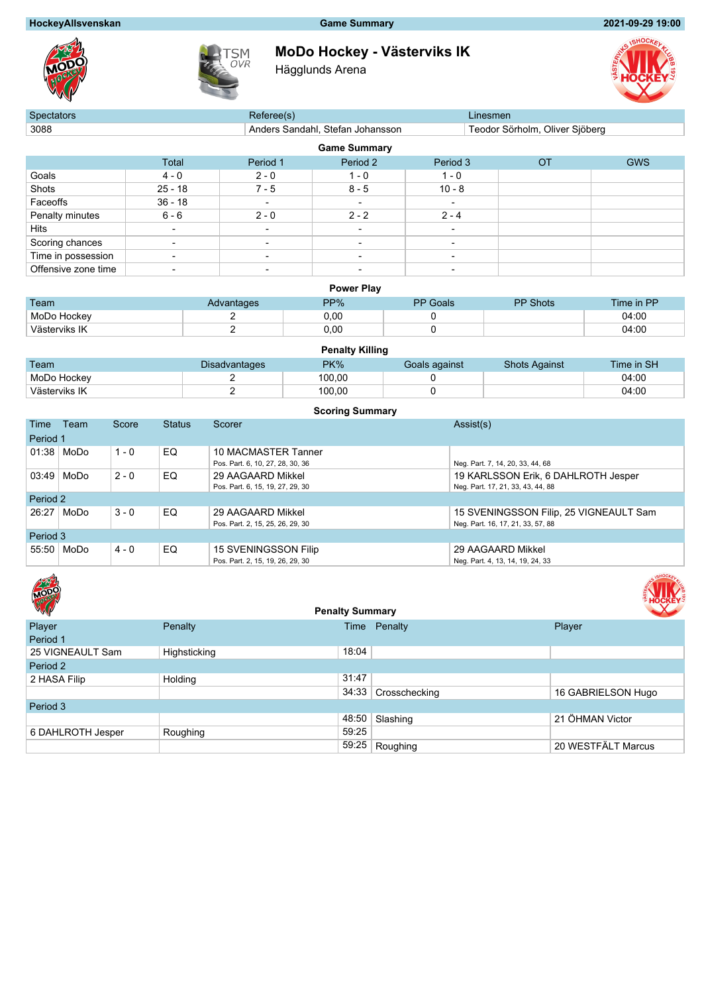### **HockeyAllsvenskan Game Summary 2021-09-29 19:00**





# **MoDo Hockey - Västerviks IK**

Hägglunds Arena



| <b>Spectators</b>   |                          | Referee(s)               |                                  |                          | Linesmen                       |            |  |  |  |  |  |
|---------------------|--------------------------|--------------------------|----------------------------------|--------------------------|--------------------------------|------------|--|--|--|--|--|
| 3088                |                          |                          | Anders Sandahl, Stefan Johansson |                          | Teodor Sörholm, Oliver Sjöberg |            |  |  |  |  |  |
|                     | <b>Game Summary</b>      |                          |                                  |                          |                                |            |  |  |  |  |  |
|                     | Total                    | Period 1                 | Period 2                         | Period 3                 | <b>OT</b>                      | <b>GWS</b> |  |  |  |  |  |
| Goals               | $4 - 0$                  | $2 - 0$                  | 1 - 0                            | $1 - 0$                  |                                |            |  |  |  |  |  |
| Shots               | $25 - 18$                | $7 - 5$                  | $8 - 5$                          | $10 - 8$                 |                                |            |  |  |  |  |  |
| Faceoffs            | $36 - 18$                | $\overline{\phantom{a}}$ | $\overline{\phantom{0}}$         | -                        |                                |            |  |  |  |  |  |
| Penalty minutes     | $6 - 6$                  | $2 - 0$                  | $2 - 2$                          | $2 - 4$                  |                                |            |  |  |  |  |  |
| Hits                |                          | $\overline{\phantom{a}}$ |                                  | $\overline{\phantom{0}}$ |                                |            |  |  |  |  |  |
| Scoring chances     | $\overline{\phantom{a}}$ | $\overline{\phantom{0}}$ | $\overline{\phantom{0}}$         | ۰                        |                                |            |  |  |  |  |  |
| Time in possession  | $\overline{\phantom{a}}$ | $\overline{\phantom{0}}$ | $\overline{\phantom{0}}$         | $\overline{\phantom{0}}$ |                                |            |  |  |  |  |  |
| Offensive zone time |                          | $\overline{\phantom{a}}$ | $\overline{\phantom{0}}$         | $\overline{\phantom{a}}$ |                                |            |  |  |  |  |  |

#### **Power Play**

| Team          | Advantages | PP%  | <b>PP</b> Goals | <b>PP Shots</b> | Time in PP |
|---------------|------------|------|-----------------|-----------------|------------|
| MoDo Hockey   |            | 0.00 |                 |                 | 04:00      |
| Västerviks IK |            | 0.00 |                 |                 | 04:00      |

|               | <b>Penalty Killing</b> |        |               |                      |            |  |  |  |  |  |  |
|---------------|------------------------|--------|---------------|----------------------|------------|--|--|--|--|--|--|
| Team          | <b>Disadvantages</b>   | PK%    | Goals against | <b>Shots Against</b> | Time in SH |  |  |  |  |  |  |
| MoDo Hockey   |                        | 100.00 |               |                      | 04:00      |  |  |  |  |  |  |
| Västerviks IK |                        | 100.00 |               |                      | 04:00      |  |  |  |  |  |  |

|          | <b>Scoring Summary</b> |         |               |                                  |                                        |  |  |  |  |  |  |  |
|----------|------------------------|---------|---------------|----------------------------------|----------------------------------------|--|--|--|--|--|--|--|
| Time     | Team                   | Score   | <b>Status</b> | Scorer                           | Assist(s)                              |  |  |  |  |  |  |  |
| Period 1 |                        |         |               |                                  |                                        |  |  |  |  |  |  |  |
|          | 01:38   MoDo           | $1 - 0$ | EQ            | 10 MACMASTER Tanner              |                                        |  |  |  |  |  |  |  |
|          |                        |         |               | Pos. Part. 6, 10, 27, 28, 30, 36 | Neg. Part. 7, 14, 20, 33, 44, 68       |  |  |  |  |  |  |  |
| 03:49    | MoDo                   | $2 - 0$ | EQ.           | 29 AAGAARD Mikkel                | 19 KARLSSON Erik, 6 DAHLROTH Jesper    |  |  |  |  |  |  |  |
|          |                        |         |               | Pos. Part. 6, 15, 19, 27, 29, 30 | Neg. Part. 17, 21, 33, 43, 44, 88      |  |  |  |  |  |  |  |
| Period 2 |                        |         |               |                                  |                                        |  |  |  |  |  |  |  |
| 26:27    | MoDo                   | $3 - 0$ | EQ            | 29 AAGAARD Mikkel                | 15 SVENINGSSON Filip, 25 VIGNEAULT Sam |  |  |  |  |  |  |  |
|          |                        |         |               | Pos. Part. 2, 15, 25, 26, 29, 30 | Neg. Part. 16, 17, 21, 33, 57, 88      |  |  |  |  |  |  |  |
| Period 3 |                        |         |               |                                  |                                        |  |  |  |  |  |  |  |
| 55:50    | MoDo                   | $4 - 0$ | EQ            | 15 SVENINGSSON Filip             | 29 AAGAARD Mikkel                      |  |  |  |  |  |  |  |
|          |                        |         |               | Pos. Part. 2, 15, 19, 26, 29, 30 | Neg. Part. 4, 13, 14, 19, 24, 33       |  |  |  |  |  |  |  |



| MODO              |              | <b>Penalty Summary</b> |               |                    |
|-------------------|--------------|------------------------|---------------|--------------------|
| Player            | Penalty      |                        | Time Penalty  | Player             |
| Period 1          |              |                        |               |                    |
| 25 VIGNEAULT Sam  | Highsticking | 18:04                  |               |                    |
| Period 2          |              |                        |               |                    |
| 2 HASA Filip      | Holding      | 31:47                  |               |                    |
|                   |              | 34:33                  | Crosschecking | 16 GABRIELSON Hugo |
| Period 3          |              |                        |               |                    |
|                   |              | 48:50                  | Slashing      | 21 ÖHMAN Victor    |
| 6 DAHLROTH Jesper | Roughing     | 59:25                  |               |                    |
|                   |              | 59:25                  | Roughing      | 20 WESTFÄLT Marcus |